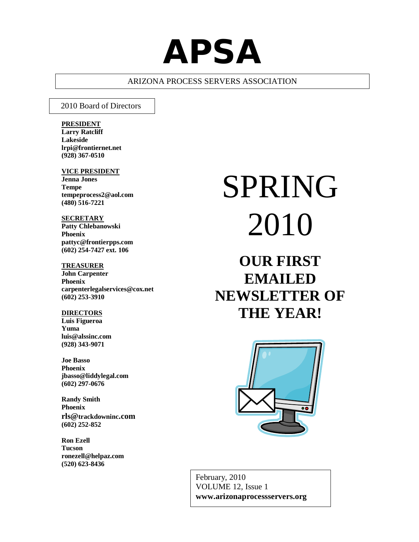# **APSA**

# ARIZONA PROCESS SERVERS ASSOCIATION

### 2010 Board of Directors

### **PRESIDENT**

**Larry Ratcliff Lakeside lrpi@frontiernet.net (928) 367-0510**

#### **VICE PRESIDENT**

**Jenna Jones Tempe tempeprocess2@aol.com (480) 516-7221**

# **SECRETARY**

**Patty Chlebanowski Phoenix pattyc@frontierpps.com (602) 254-7427 ext. 106**

#### **TREASURER**

**John Carpenter Phoenix carpenterlegalservices@cox.net (602) 253-3910**

#### **DIRECTORS**

**Luis Figueroa Yuma luis@alssinc.com (928) 343-9071**

#### **Joe Basso Phoenix jbasso@liddylegal.com (602) 297-0676**

**Randy Smith Phoenix rls@trackdowninc.com (602) 252-852**

**Ron Ezell Tucson ronezell@helpaz.com (520) 623-8436**

# SPRING 2010

# **OUR FIRST EMAILED NEWSLETTER OF THE YEAR!**



February, 2010 VOLUME 12, Issue 1 **www.arizonaprocessservers.org**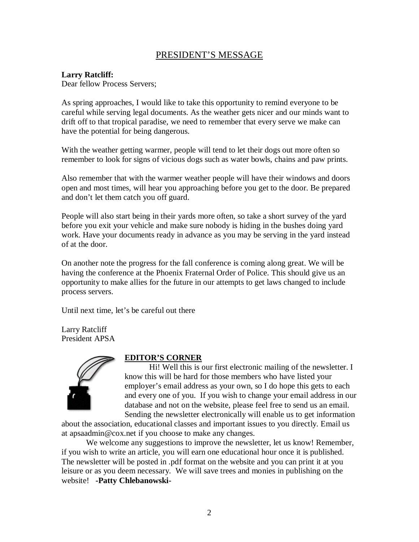# PRESIDENT'S MESSAGE

# **Larry Ratcliff:**

Dear fellow Process Servers;

As spring approaches, I would like to take this opportunity to remind everyone to be careful while serving legal documents. As the weather gets nicer and our minds want to drift off to that tropical paradise, we need to remember that every serve we make can have the potential for being dangerous.

With the weather getting warmer, people will tend to let their dogs out more often so remember to look for signs of vicious dogs such as water bowls, chains and paw prints.

Also remember that with the warmer weather people will have their windows and doors open and most times, will hear you approaching before you get to the door. Be prepared and don't let them catch you off guard.

People will also start being in their yards more often, so take a short survey of the yard before you exit your vehicle and make sure nobody is hiding in the bushes doing yard work. Have your documents ready in advance as you may be serving in the yard instead of at the door.

On another note the progress for the fall conference is coming along great. We will be having the conference at the Phoenix Fraternal Order of Police. This should give us an opportunity to make allies for the future in our attempts to get laws changed to include process servers.

Until next time, let's be careful out there

Larry Ratcliff President APSA



# **EDITOR'S CORNER**

Hi! Well this is our first electronic mailing of the newsletter. I know this will be hard for those members who have listed your employer's email address as your own, so I do hope this gets to each and every one of you. If you wish to change your email address in our database and not on the website, please feel free to send us an email. Sending the newsletter electronically will enable us to get information

about the association, educational classes and important issues to you directly. Email us at apsaadmin@cox.net if you choose to make any changes.

We welcome any suggestions to improve the newsletter, let us know! Remember, if you wish to write an article, you will earn one educational hour once it is published. The newsletter will be posted in .pdf format on the website and you can print it at you leisure or as you deem necessary. We will save trees and monies in publishing on the website! **-Patty Chlebanowski-**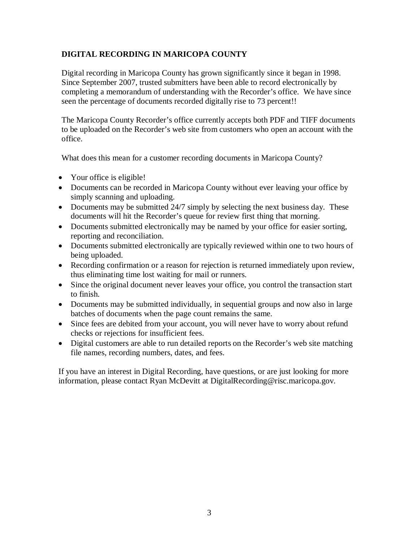# **DIGITAL RECORDING IN MARICOPA COUNTY**

Digital recording in Maricopa County has grown significantly since it began in 1998. Since September 2007, trusted submitters have been able to record electronically by completing a memorandum of understanding with the Recorder's office. We have since seen the percentage of documents recorded digitally rise to 73 percent!!

The Maricopa County Recorder's office currently accepts both PDF and TIFF documents to be uploaded on the Recorder's web site from customers who open an account with the office.

What does this mean for a customer recording documents in Maricopa County?

- Your office is eligible!
- Documents can be recorded in Maricopa County without ever leaving your office by simply scanning and uploading.
- Documents may be submitted 24/7 simply by selecting the next business day. These documents will hit the Recorder's queue for review first thing that morning.
- Documents submitted electronically may be named by your office for easier sorting, reporting and reconciliation.
- Documents submitted electronically are typically reviewed within one to two hours of being uploaded.
- Recording confirmation or a reason for rejection is returned immediately upon review, thus eliminating time lost waiting for mail or runners.
- Since the original document never leaves your office, you control the transaction start to finish.
- Documents may be submitted individually, in sequential groups and now also in large batches of documents when the page count remains the same.
- Since fees are debited from your account, you will never have to worry about refund checks or rejections for insufficient fees.
- Digital customers are able to run detailed reports on the Recorder's web site matching file names, recording numbers, dates, and fees.

If you have an interest in Digital Recording, have questions, or are just looking for more information, please contact Ryan McDevitt at DigitalRecording@risc.maricopa.gov.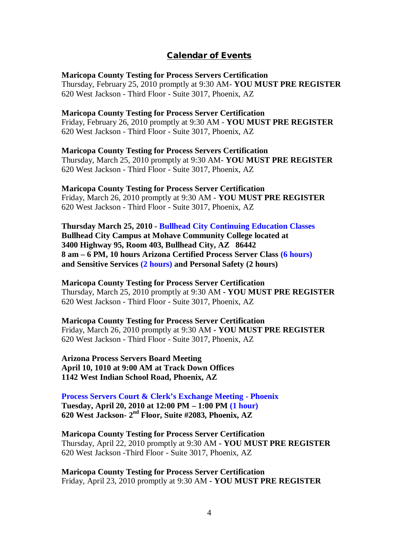# **Calendar of Events**

# **Maricopa County Testing for Process Servers Certification** Thursday, February 25, 2010 promptly at 9:30 AM- **YOU MUST PRE REGISTER** 620 West Jackson - Third Floor - Suite 3017, Phoenix, AZ

# **Maricopa County Testing for Process Server Certification**

Friday, February 26, 2010 promptly at 9:30 AM - **YOU MUST PRE REGISTER** 620 West Jackson - Third Floor - Suite 3017, Phoenix, AZ

**Maricopa County Testing for Process Servers Certification** Thursday, March 25, 2010 promptly at 9:30 AM- **YOU MUST PRE REGISTER** 620 West Jackson - Third Floor - Suite 3017, Phoenix, AZ

**Maricopa County Testing for Process Server Certification** Friday, March 26, 2010 promptly at 9:30 AM - **YOU MUST PRE REGISTER** 620 West Jackson - Third Floor - Suite 3017, Phoenix, AZ

**Thursday March 25, 2010 - Bullhead City Continuing Education Classes Bullhead City Campus at Mohave Community College located at 3400 Highway 95, Room 403, Bullhead City, AZ 86442 8 am – 6 PM, 10 hours Arizona Certified Process Server Class (6 hours) and Sensitive Services (2 hours) and Personal Safety (2 hours)**

**Maricopa County Testing for Process Server Certification** Thursday, March 25, 2010 promptly at 9:30 AM **- YOU MUST PRE REGISTER** 620 West Jackson - Third Floor - Suite 3017, Phoenix, AZ

**Maricopa County Testing for Process Server Certification** Friday, March 26, 2010 promptly at 9:30 AM **- YOU MUST PRE REGISTER** 620 West Jackson - Third Floor - Suite 3017, Phoenix, AZ

**Arizona Process Servers Board Meeting April 10, 1010 at 9:00 AM at Track Down Offices 1142 West Indian School Road, Phoenix, AZ** 

**Process Servers Court & Clerk's Exchange Meeting - Phoenix Tuesday, April 20, 2010 at 12:00 PM – 1:00 PM (1 hour) 620 West Jackson- 2nd Floor, Suite #2083, Phoenix, AZ**

**Maricopa County Testing for Process Server Certification** Thursday, April 22, 2010 promptly at 9:30 AM **- YOU MUST PRE REGISTER** 620 West Jackson -Third Floor - Suite 3017, Phoenix, AZ

**Maricopa County Testing for Process Server Certification** Friday, April 23, 2010 promptly at 9:30 AM **- YOU MUST PRE REGISTER**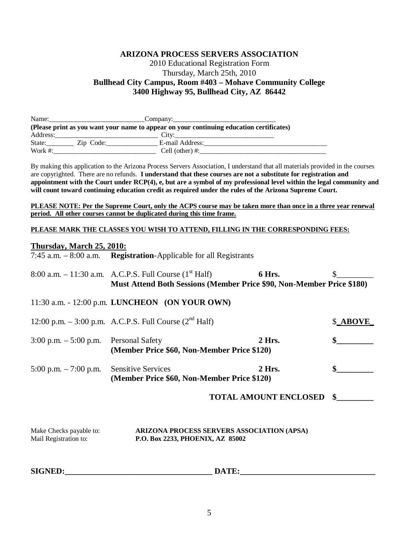# **ARIZONA PROCESS SERVERS ASSOCIATION** 2010 Educational Registration Form Thursday, March 25th, 2010 **Bullhead City Campus, Room #403 – Mohave Community College 3400 Highway 95, Bullhead City, AZ 86442**

| Name:      |           | Company:                                                                                 |
|------------|-----------|------------------------------------------------------------------------------------------|
|            |           | (Please print as you want your name to appear on your continuing education certificates) |
|            | Address:  | City:                                                                                    |
| State:     | Zip Code: | E-mail Address:                                                                          |
| Work $#$ : |           | Cell (other) $\#$ :                                                                      |

By making this application to the Arizona Process Servers Association, I understand that all materials provided in the courses are copyrighted. There are no refunds. **I understand that these courses are not a substitute for registration and appointment with the Court under RCP(4), e, but are a symbol of my professional level within the legal community and will count toward continuing education credit as required under the rules of the Arizona Supreme Court.**

**PLEASE NOTE: Per the Supreme Court, only the ACPS course may be taken more than once in a three year renewal period. All other courses cannot be duplicated during this time frame.**

# **PLEASE MARK THE CLASSES YOU WISH TO ATTEND, FILLING IN THE CORRESPONDING FEES:**

# **Thursday, March 25, 2010:**

7:45 a.m. – 8:00 a.m. **Registration**-Applicable for all Registrants

|                                                  | 8:00 a.m. $-11:30$ a.m. A.C.P.S. Full Course $(1^{\text{st}} \text{Half})$     | 6 Hrs.                       |          |
|--------------------------------------------------|--------------------------------------------------------------------------------|------------------------------|----------|
|                                                  | <b>Must Attend Both Sessions (Member Price \$90, Non-Member Price \$180)</b>   |                              |          |
|                                                  | 11:30 a.m. - 12:00 p.m. LUNCHEON (ON YOUR OWN)                                 |                              |          |
|                                                  | 12:00 p.m. $-3:00$ p.m. A.C.P.S. Full Course ( $2nd$ Half)                     |                              | \$_ABOVE |
| $3:00$ p.m. $-5:00$ p.m.                         | <b>Personal Safety</b><br>(Member Price \$60, Non-Member Price \$120)          | 2 Hrs.                       |          |
| 5:00 p.m. $-7:00$ p.m.                           | <b>Sensitive Services</b><br>(Member Price \$60, Non-Member Price \$120)       | 2 Hrs.                       |          |
|                                                  |                                                                                | <b>TOTAL AMOUNT ENCLOSED</b> | \$       |
| Make Checks payable to:<br>Mail Registration to: | ARIZONA PROCESS SERVERS ASSOCIATION (APSA)<br>P.O. Box 2233, PHOENIX, AZ 85002 |                              |          |

| <b>SIGNED:</b><br>TF.<br>DА |  |
|-----------------------------|--|
|-----------------------------|--|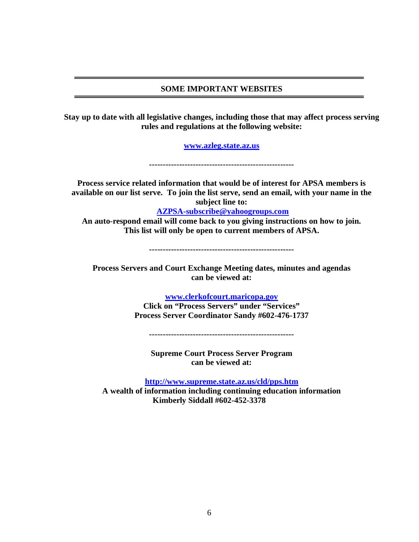# **SOME IMPORTANT WEBSITES**

**Stay up to date with all legislative changes, including those that may affect process serving rules and regulations at the following website:**

**www.azleg.state.az.us**

**-----------------------------------------------------**

**Process service related information that would be of interest for APSA members is available on our list serve. To join the list serve, send an email, with your name in the subject line to:**

**AZPSA-subscribe@yahoogroups.com**

**An auto-respond email will come back to you giving instructions on how to join. This list will only be open to current members of APSA.**

**-----------------------------------------------------**

**Process Servers and Court Exchange Meeting dates, minutes and agendas can be viewed at:**

**www.clerkofcourt.maricopa.gov**

**Click on "Process Servers" under "Services" Process Server Coordinator Sandy #602-476-1737**

**-----------------------------------------------------**

**Supreme Court Process Server Program can be viewed at:**

**http://www.supreme.state.az.us/cld/pps.htm A wealth of information including continuing education information Kimberly Siddall #602-452-3378**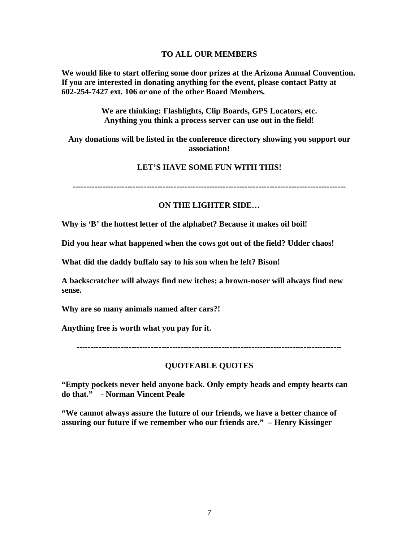# **TO ALL OUR MEMBERS**

**We would like to start offering some door prizes at the Arizona Annual Convention. If you are interested in donating anything for the event, please contact Patty at 602-254-7427 ext. 106 or one of the other Board Members.**

> **We are thinking: Flashlights, Clip Boards, GPS Locators, etc. Anything you think a process server can use out in the field!**

**Any donations will be listed in the conference directory showing you support our association!**

# **LET'S HAVE SOME FUN WITH THIS!**

**----------------------------------------------------------------------------------------------------**

# **ON THE LIGHTER SIDE…**

**Why is 'B' the hottest letter of the alphabet? Because it makes oil boil!**

**Did you hear what happened when the cows got out of the field? Udder chaos!**

**What did the daddy buffalo say to his son when he left? Bison!**

**A backscratcher will always find new itches; a brown-noser will always find new sense.**

**Why are so many animals named after cars?!**

**Anything free is worth what you pay for it.**

**-------------------------------------------------------------------------------------------------**

# **QUOTEABLE QUOTES**

**"Empty pockets never held anyone back. Only empty heads and empty hearts can do that." - Norman Vincent Peale**

**"We cannot always assure the future of our friends, we have a better chance of assuring our future if we remember who our friends are." – Henry Kissinger**